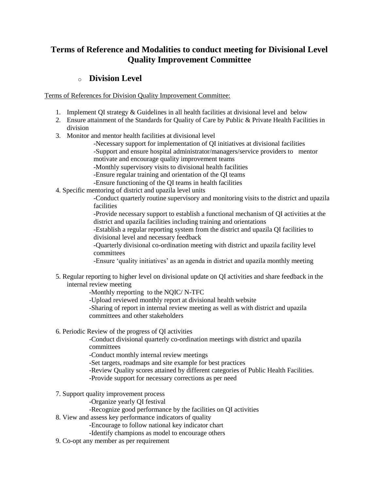# **Terms of Reference and Modalities to conduct meeting for Divisional Level Quality Improvement Committee**

## o **[Division Level](http://qis.gov.bd/pdf/facility.pdf)**

Terms of References for Division [Quality Improvement](http://qis.gov.bd/pdf/divisional.pdf) Committee:

- 1. Implement QI strategy & Guidelines in all health facilities at divisional level and below
- 2. Ensure attainment of the Standards for Quality of Care by Public & Private Health Facilities in division
- 3. Monitor and mentor health facilities at divisional level
	- -Necessary support for implementation of QI initiatives at divisional facilities -Support and ensure hospital administrator/managers/service providers to mentor
	- motivate and encourage quality improvement teams
	- -Monthly supervisory visits to divisional health facilities
	- -Ensure regular training and orientation of the QI teams
	- -Ensure functioning of the QI teams in health facilities
- 4. Specific mentoring of district and upazila level units
	- -Conduct quarterly routine supervisory and monitoring visits to the district and upazila facilities
	- -Provide necessary support to establish a functional mechanism of QI activities at the district and upazila facilities including training and orientations
	- -Establish a regular reporting system from the district and upazila QI facilities to divisional level and necessary feedback

-Quarterly divisional co-ordination meeting with district and upazila facility level committees

- -Ensure 'quality initiatives' as an agenda in district and upazila monthly meeting
- 5. Regular reporting to higher level on divisional update on QI activities and share feedback in the internal review meeting

-Monthly rreporting to the NQIC/ N-TFC

- -Upload reviewed monthly report at divisional health website
- -Sharing of report in internal review meeting as well as with district and upazila committees and other stakeholders
- 6. Periodic Review of the progress of QI activities

-Conduct divisional quarterly co-ordination meetings with district and upazila committees

-Conduct monthly internal review meetings

- -Set targets, roadmaps and site example for best practices
- -Review Quality scores attained by different categories of Public Health Facilities.
- -Provide support for necessary corrections as per need
- 7. Support quality improvement process
	- -Organize yearly QI festival
	- -Recognize good performance by the facilities on QI activities
- 8. View and assess key performance indicators of quality
	- -Encourage to follow national key indicator chart
	- -Identify champions as model to encourage others
- 9. Co-opt any member as per requirement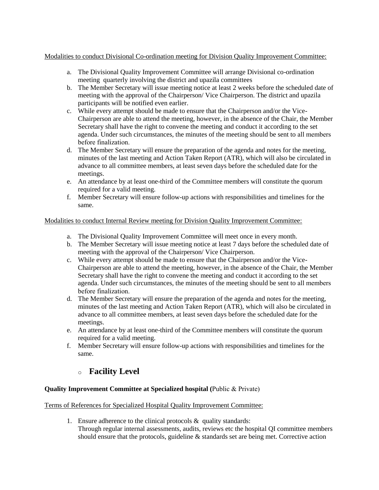### Modalities to conduct Divisional Co-ordination meeting for Division Quality Improvement Committee:

- a. The Divisional Quality Improvement Committee will arrange Divisional co-ordination meeting quarterly involving the district and upazila committees
- b. The Member Secretary will issue meeting notice at least 2 weeks before the scheduled date of meeting with the approval of the Chairperson/ Vice Chairperson. The district and upazila participants will be notified even earlier.
- c. While every attempt should be made to ensure that the Chairperson and/or the Vice-Chairperson are able to attend the meeting, however, in the absence of the Chair, the Member Secretary shall have the right to convene the meeting and conduct it according to the set agenda. Under such circumstances, the minutes of the meeting should be sent to all members before finalization.
- d. The Member Secretary will ensure the preparation of the agenda and notes for the meeting, minutes of the last meeting and Action Taken Report (ATR), which will also be circulated in advance to all committee members, at least seven days before the scheduled date for the meetings.
- e. An attendance by at least one-third of the Committee members will constitute the quorum required for a valid meeting.
- f. Member Secretary will ensure follow-up actions with responsibilities and timelines for the same.

### Modalities to conduct Internal Review meeting for Division Quality Improvement Committee:

- a. The Divisional Quality Improvement Committee will meet once in every month.
- b. The Member Secretary will issue meeting notice at least 7 days before the scheduled date of meeting with the approval of the Chairperson/ Vice Chairperson.
- c. While every attempt should be made to ensure that the Chairperson and/or the Vice-Chairperson are able to attend the meeting, however, in the absence of the Chair, the Member Secretary shall have the right to convene the meeting and conduct it according to the set agenda. Under such circumstances, the minutes of the meeting should be sent to all members before finalization.
- d. The Member Secretary will ensure the preparation of the agenda and notes for the meeting, minutes of the last meeting and Action Taken Report (ATR), which will also be circulated in advance to all committee members, at least seven days before the scheduled date for the meetings.
- e. An attendance by at least one-third of the Committee members will constitute the quorum required for a valid meeting.
- f. Member Secretary will ensure follow-up actions with responsibilities and timelines for the same.

## o **[Facility Level](http://qis.gov.bd/pdf/facility.pdf)**

## **Quality Improvement Committee at Specialized hospital (**Public & Private)

Terms of References for Specialized Hospital Quality Improvement Committee:

1. Ensure adherence to the clinical protocols  $\&$  quality standards: Through regular internal assessments, audits, reviews etc the hospital QI committee members should ensure that the protocols, guideline & standards set are being met. Corrective action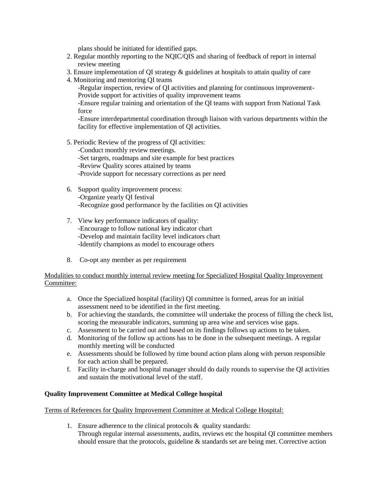plans should be initiated for identified gaps.

- 2. Regular monthly reporting to the NQIC/QIS and sharing of feedback of report in internal review meeting
- 3. Ensure implementation of QI strategy & guidelines at hospitals to attain quality of care
- 4. Monitoring and mentoring QI teams

-Regular inspection, review of QI activities and planning for continuous improvement-Provide support for activities of quality improvement teams

-Ensure regular training and orientation of the QI teams with support from National Task force

-Ensure interdepartmental coordination through liaison with various departments within the facility for effective implementation of QI activities.

5. Periodic Review of the progress of QI activities:

-Conduct monthly review meetings. -Set targets, roadmaps and site example for best practices -Review Quality scores attained by teams -Provide support for necessary corrections as per need

- 6. Support quality improvement process: -Organize yearly QI festival -Recognize good performance by the facilities on QI activities
- 7. View key performance indicators of quality: -Encourage to follow national key indicator chart -Develop and maintain facility level indicators chart -Identify champions as model to encourage others
- 8. Co-opt any member as per requirement

### Modalities to conduct monthly internal review meeting for Specialized Hospital Quality Improvement Committee:

- a. Once the Specialized hospital (facility) QI committee is formed, areas for an initial assessment need to be identified in the first meeting.
- b. For achieving the standards, the committee will undertake the process of filling the check list, scoring the measurable indicators, summing up area wise and services wise gaps.
- c. Assessment to be carried out and based on its findings follows up actions to be taken.
- d. Monitoring of the follow up actions has to be done in the subsequent meetings. A regular monthly meeting will be conducted
- e. Assessments should be followed by time bound action plans along with person responsible for each action shall be prepared.
- f. Facility in-charge and hospital manager should do daily rounds to supervise the QI activities and sustain the motivational level of the staff.

#### **Quality Improvement Committee at Medical College hospital**

#### Terms of References for Quality Improvement Committee at Medical College Hospital:

1. Ensure adherence to the clinical protocols  $\&$  quality standards: Through regular internal assessments, audits, reviews etc the hospital QI committee members should ensure that the protocols, guideline & standards set are being met. Corrective action